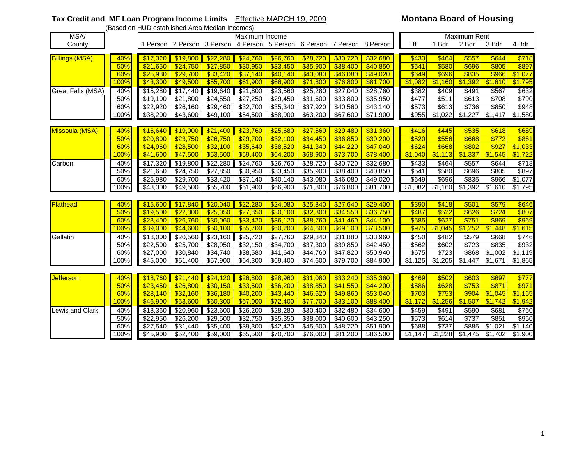## **Tax Credit and MF Loan Program Income Limits** Effective MARCH 19, 2009 **Montana Board of Housing** (Based on HUD established Area Median Incomes)

| <b>MSA</b>            |      | <b>THOD</b> COMMISSING ANGLE MICGIOI INTOOLITICS!<br>Maximum Income |          |                      |                                                                         |                      |          |                  |                      |         | Maximum Rent |         |         |         |  |  |
|-----------------------|------|---------------------------------------------------------------------|----------|----------------------|-------------------------------------------------------------------------|----------------------|----------|------------------|----------------------|---------|--------------|---------|---------|---------|--|--|
| County                |      |                                                                     |          |                      | 1 Person 2 Person 3 Person 4 Person 5 Person 6 Person 7 Person 8 Person |                      |          |                  |                      | Eff.    | 1 Bdr        | 2 Bdr   | 3 Bdr   | 4 Bdr   |  |  |
|                       |      |                                                                     |          |                      |                                                                         |                      |          |                  |                      |         |              |         |         |         |  |  |
| <b>Billings (MSA)</b> | 40%  | \$17,320                                                            | \$19,800 | \$22,280             | \$24,760                                                                | \$26,760             | \$28,720 | \$30,720         | \$32,680             | \$433   | \$464        | \$557   | \$644   | \$718   |  |  |
|                       | 50%  | \$21,650                                                            | \$24,750 | \$27,850             | \$30,950                                                                | \$33,450             | \$35,900 | \$38,400         | \$40,850             | \$541   | \$580        | \$696   | \$805   | \$897   |  |  |
|                       | 60%  | \$25,980                                                            | \$29,700 | \$33,420             | \$37,140                                                                | \$40,140             | \$43,080 | \$46,080         | \$49,020             | \$649   | \$696        | \$835   | \$966   | \$1,077 |  |  |
|                       | 100% | \$43,300                                                            | \$49,500 | \$55,700             | \$61,900                                                                | \$66,900             | \$71,800 | \$76,800         | \$81,700             | \$1,082 | \$1,160      | \$1,392 | \$1,610 | \$1,795 |  |  |
| Great Falls (MSA)     | 40%  | \$15,280                                                            | \$17,440 | \$19,640             | \$21,800                                                                | \$23,560             | \$25,280 | \$27,040         | $\sqrt{$28,760}$     | \$382   | \$409        | \$491   | \$567   | \$632   |  |  |
|                       | 50%  | \$19,100                                                            | \$21,800 | \$24,550             | $\overline{$}27,250$                                                    | \$29,450             | \$31,600 | \$33,800         | \$35,950             | \$477   | \$511        | \$613   | \$708   | \$790   |  |  |
|                       | 60%  | \$22,920                                                            | \$26,160 | \$29,460             | \$32,700                                                                | $\overline{$}35,340$ | \$37,920 | \$40,560         | \$43,140             | \$573   | \$613        | \$736   | \$850   | \$948   |  |  |
|                       | 100% | \$38,200                                                            | \$43,600 | $\overline{$49,100}$ | \$54,500                                                                | \$58,900             | \$63,200 | \$67,600         | $\overline{$}71,900$ | \$955   | \$1,022      | \$1,227 | \$1,417 | \$1,580 |  |  |
|                       |      |                                                                     |          |                      |                                                                         |                      |          |                  |                      |         |              |         |         |         |  |  |
| Missoula (MSA)        | 40%  | \$16,640                                                            | \$19,000 | \$21,400             | \$23,760                                                                | \$25,680             | \$27,560 | \$29,480         | \$31,360             | \$416   | \$445        | \$535   | \$618   | \$689   |  |  |
|                       | 50%  | \$20,800                                                            | \$23,750 | \$26,750             | \$29,700                                                                | \$32,100             | \$34,450 | \$36,850         | \$39,200             | \$520   | \$556        | \$668   | \$772   | \$861   |  |  |
|                       | 60%  | \$24.960                                                            | \$28,500 | \$32,100             | \$35,640                                                                | \$38,520             | \$41,340 | \$44,220         | \$47,040             | \$624   | \$668        | \$802   | \$927   | \$1,033 |  |  |
|                       | 100% | \$41,600                                                            | \$47,500 | \$53,500             | \$59,400                                                                | \$64,200             | \$68,900 | \$73,700         | \$78,400             | \$1,040 | \$1,113      | 51,337  | \$1,545 | \$1,722 |  |  |
| Carbon                | 40%  | \$17,320                                                            | \$19,800 | \$22,280             | \$24,760                                                                | \$26,760             | \$28,720 | \$30,720         | \$32,680             | \$433   | \$464        | \$557   | \$644   | \$718   |  |  |
|                       | 50%  | \$21,650                                                            | \$24,750 | \$27,850             | \$30,950                                                                | \$33,450             | \$35,900 | \$38,400         | \$40,850             | \$541   | \$580        | \$696   | \$805   | \$897   |  |  |
|                       | 60%  | \$25,980                                                            | \$29,700 | \$33,420             | \$37,140                                                                | \$40,140             | \$43,080 | \$46,080         | \$49,020             | \$649   | \$696        | \$835   | \$966   | \$1,077 |  |  |
|                       | 100% | \$43,300                                                            | \$49,500 | \$55,700             | \$61,900                                                                | \$66,900             | \$71,800 | \$76,800         | \$81,700             | \$1,082 | \$1,160      | \$1,392 | \$1,610 | \$1,795 |  |  |
|                       |      |                                                                     |          |                      |                                                                         |                      |          |                  |                      |         |              |         |         |         |  |  |
| Flathead              | 40%  | \$15,600                                                            | \$17,840 | \$20,040             | \$22,280                                                                | \$24,080             | \$25,840 | \$27,640         | \$29,400             | \$390   | \$418        | \$501   | \$579   | \$646   |  |  |
|                       | 50%  | \$19,500                                                            | \$22,300 | \$25,050             | \$27,850                                                                | \$30,100             | \$32,300 | \$34,550         | \$36,750             | \$487   | \$522        | \$626   | \$724   | \$807   |  |  |
|                       | 60%  | \$23,400                                                            | \$26,760 | \$30,060             | \$33,420                                                                | \$36,120             | \$38,760 | \$41,460         | \$44,100             | \$585   | \$627        | \$751   | \$869   | \$969   |  |  |
|                       | 100% | \$39,000                                                            | \$44,600 | \$50,100             | \$55,700                                                                | \$60,200             | \$64,600 | \$69,100         | \$73,500             | \$975   | \$1,045      | \$1,252 | \$1,448 | \$1,615 |  |  |
| Gallatin              | 40%  | \$18,000                                                            | \$20,560 | \$23,160             | \$25,720                                                                | $\sqrt{$27,760}$     | \$29,840 | \$31,880         | \$33,960             | \$450   | \$482        | \$579   | \$668   | \$746   |  |  |
|                       | 50%  | \$22,500                                                            | \$25,700 | \$28,950             | \$32,150                                                                | \$34,700             | \$37,300 | \$39,850         | \$42,450             | \$562   | \$602        | \$723   | \$835   | \$932   |  |  |
|                       | 60%  | \$27,000                                                            | \$30,840 | \$34,740             | \$38,580                                                                | \$41,640             | \$44,760 | $\sqrt{$47,820}$ | \$50,940             | \$675   | \$723        | \$868   | \$1,002 | \$1,119 |  |  |
|                       | 100% | \$45,000                                                            | \$51,400 | \$57,900             | \$64,300                                                                | \$69,400             | \$74,600 | \$79,700         | \$84,900             | \$1,125 | \$1,205      | \$1,447 | \$1,671 | \$1,865 |  |  |
|                       |      |                                                                     |          |                      |                                                                         |                      |          |                  |                      |         |              |         |         |         |  |  |
| <b>Jefferson</b>      | 40%  | \$18,760                                                            | \$21,440 | \$24,120             | \$26,800                                                                | \$28,960             | \$31,080 | \$33,240         | \$35,360             | \$469   | \$502        | \$603   | \$697   | \$777   |  |  |
|                       | 50%  | \$23.450                                                            | \$26,800 | \$30,150             | \$33,500                                                                | \$36,200             | \$38,850 | \$41,550         | $\sqrt{$44,200}$     | \$586   | \$628        | \$753   | \$871   | \$971   |  |  |
|                       | 60%  | \$28,140                                                            | \$32,160 | \$36,180             | \$40,200                                                                | \$43,440             | \$46,620 | \$49,860         | \$53,040             | \$703   | \$753        | \$904   | \$1,045 | \$1,165 |  |  |
|                       | 100% | \$46,900                                                            | \$53,600 | \$60,300             | \$67,000                                                                | \$72,400             | \$77,700 | \$83,100         | \$88,400             | \$1,172 | \$1,256      | \$1,507 | \$1,742 | \$1,942 |  |  |
| Lewis and Clark       | 40%  | \$18,360                                                            | \$20,960 | \$23,600             | \$26,200                                                                | \$28,280             | \$30,400 | \$32,480         | \$34,600             | \$459   | \$491        | \$590   | \$681   | \$760   |  |  |
|                       | 50%  | \$22,950                                                            | \$26,200 | \$29,500             | \$32,750                                                                | \$35,350             | \$38,000 | \$40,600         | \$43,250             | \$573   | \$614        | \$737   | \$851   | \$950   |  |  |
|                       | 60%  | \$27.540                                                            | \$31,440 | \$35,400             | \$39,300                                                                | \$42,420             | \$45,600 | \$48,720         | \$51,900             | \$688   | \$737        | \$885   | \$1,021 | \$1,140 |  |  |
|                       | 100% | \$45,900                                                            | \$52,400 | \$59,000             | \$65,500                                                                | \$70,700             | \$76,000 | \$81,200         | \$86,500             | \$1,147 | \$1,228      | \$1,475 | \$1,702 | \$1,900 |  |  |